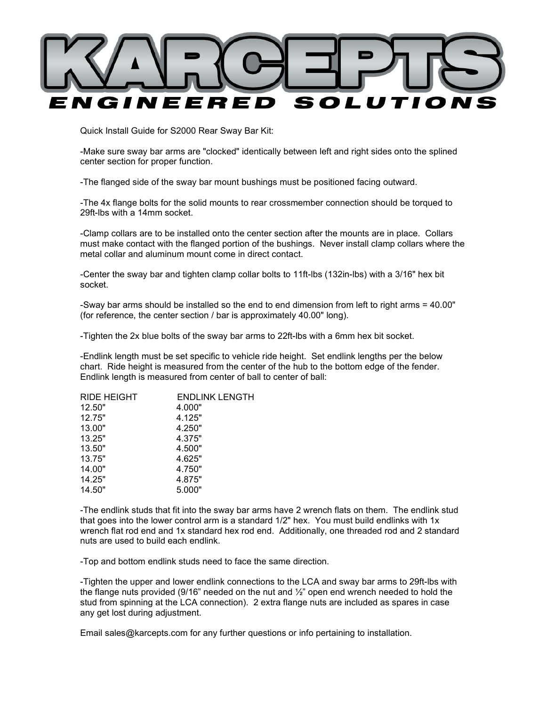

Quick Install Guide for S2000 Rear Sway Bar Kit:

-Make sure sway bar arms are "clocked" identically between left and right sides onto the splined center section for proper function.

-The flanged side of the sway bar mount bushings must be positioned facing outward.

-The 4x flange bolts for the solid mounts to rear crossmember connection should be torqued to 29ft-lbs with a 14mm socket.

-Clamp collars are to be installed onto the center section after the mounts are in place. Collars must make contact with the flanged portion of the bushings. Never install clamp collars where the metal collar and aluminum mount come in direct contact.

-Center the sway bar and tighten clamp collar bolts to 11ft-lbs (132in-lbs) with a 3/16" hex bit socket.

-Sway bar arms should be installed so the end to end dimension from left to right arms = 40.00" (for reference, the center section / bar is approximately 40.00" long).

-Tighten the 2x blue bolts of the sway bar arms to 22ft-lbs with a 6mm hex bit socket.

-Endlink length must be set specific to vehicle ride height. Set endlink lengths per the below chart. Ride height is measured from the center of the hub to the bottom edge of the fender. Endlink length is measured from center of ball to center of ball:

| <b>RIDE HEIGHT</b> | <b>ENDLINK LENGTH</b> |
|--------------------|-----------------------|
| 12.50"             | 4.000"                |
| 12.75"             | 4.125"                |
| 13.00"             | 4.250"                |
| 13.25"             | 4.375"                |
| 13.50"             | 4.500"                |
| 13.75"             | 4.625"                |
| 14.00"             | 4.750"                |
| 14.25"             | 4.875"                |
| 14.50"             | 5.000"                |

-The endlink studs that fit into the sway bar arms have 2 wrench flats on them. The endlink stud that goes into the lower control arm is a standard 1/2" hex. You must build endlinks with 1x wrench flat rod end and 1x standard hex rod end. Additionally, one threaded rod and 2 standard nuts are used to build each endlink.

-Top and bottom endlink studs need to face the same direction.

-Tighten the upper and lower endlink connections to the LCA and sway bar arms to 29ft-lbs with the flange nuts provided (9/16" needed on the nut and  $\frac{1}{2}$ " open end wrench needed to hold the stud from spinning at the LCA connection). 2 extra flange nuts are included as spares in case any get lost during adjustment.

Email sales@karcepts.com for any further questions or info pertaining to installation.